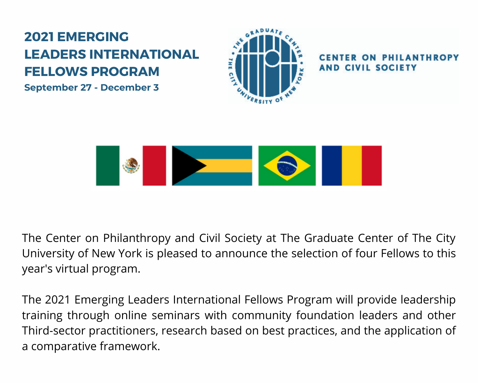### **2021 EMERGING LEADERS INTERNATIONAL FELLOWS PROGRAM**

**September 27 - December 3**



CIVIL SOCIETY



The Center on Philanthropy and Civil Society at The Graduate Center of The City University of New York is pleased to announce the selection of four Fellows to this year's virtual program.

The 2021 Emerging Leaders International Fellows Program will provide leadership training through online seminars with community foundation leaders and other Third-sector practitioners, research based on best practices, and the application of a comparative framework.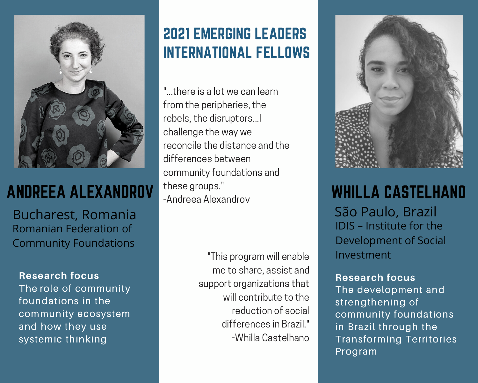

# ANDREEA ALEXANDROV

Bucharest, Romania Romanian Federation of Community [Foundations](http://www.ffcr.ro/)

#### **Research focus**

The role of community foundations in the community ecosystem and how they use systemic thinking

### 2021 EMERGING LEADERS INTERNATIONAL FELLOWS

" there is a lot we can learn from the peripheries, the rebels, the disruptors...I challenge the way we reconcile the distance and the differences between community foundations and these groups." -Andreea Alexandrov

> "This program will enable Investment me to share, assist and support organizations that will contribute to the reduction of social differences in Brazil." -Whilla Castelhano



## WHILLA CASTELHANO

São Paulo, Brazil IDIS – Institute for the [Development](http://www.idis.org.br/) of Social

#### **Research focus**

The development and strengthening of community foundations in Brazil through the Transforming Territories Program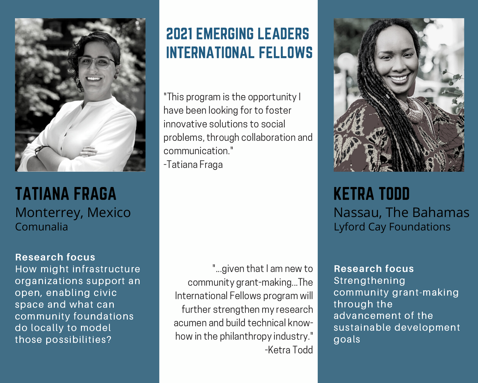

TATIANA FRAGA Monterrey, Mexico [Comunalia](https://comunalia.org.mx/)

#### **Research focus**

How might infrastructure organizations support an open, enabling civic space and what can community foundations do locally to model those possibilities?

### 2021 EMERGING LEADERS INTERNATIONAL FELLOWS

"This program is the opportunity I have been looking for to foster innovative solutions to social problems, through collaboration and communication."

-Tatiana Fraga

"...given that I am new to community grant-making...The International Fellows program will further strengthen my research acumen and build technical know how in the philanthropy industry." -Ketra Todd



KETRA TODD Nassau, The Bahamas Lyford Cay [Foundations](http://www.lyfordcayfoundations.org/)

**Research focus Strengthening** community grant-making through the advancement of the sustainable development goals